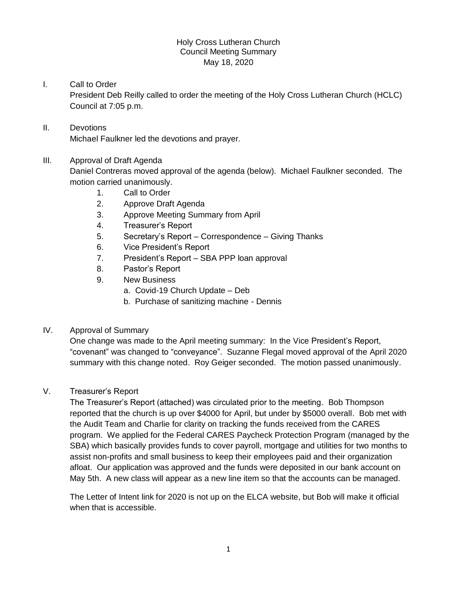### Holy Cross Lutheran Church Council Meeting Summary May 18, 2020

# I. Call to Order

President Deb Reilly called to order the meeting of the Holy Cross Lutheran Church (HCLC) Council at 7:05 p.m.

# II. Devotions Michael Faulkner led the devotions and prayer.

### III. Approval of Draft Agenda

Daniel Contreras moved approval of the agenda (below). Michael Faulkner seconded. The motion carried unanimously.

- 1. Call to Order
- 2. Approve Draft Agenda
- 3. Approve Meeting Summary from April
- 4. Treasurer's Report
- 5. Secretary's Report Correspondence Giving Thanks
- 6. Vice President's Report
- 7. President's Report SBA PPP loan approval
- 8. Pastor's Report
- 9. New Business
	- a. Covid-19 Church Update Deb
	- b. Purchase of sanitizing machine Dennis

### IV. Approval of Summary

One change was made to the April meeting summary: In the Vice President's Report, "covenant" was changed to "conveyance". Suzanne Flegal moved approval of the April 2020 summary with this change noted. Roy Geiger seconded. The motion passed unanimously.

## V. Treasurer's Report

The Treasurer's Report (attached) was circulated prior to the meeting. Bob Thompson reported that the church is up over \$4000 for April, but under by \$5000 overall. Bob met with the Audit Team and Charlie for clarity on tracking the funds received from the CARES program. We applied for the Federal CARES Paycheck Protection Program (managed by the SBA) which basically provides funds to cover payroll, mortgage and utilities for two months to assist non-profits and small business to keep their employees paid and their organization afloat. Our application was approved and the funds were deposited in our bank account on May 5th. A new class will appear as a new line item so that the accounts can be managed.

The Letter of Intent link for 2020 is not up on the ELCA website, but Bob will make it official when that is accessible.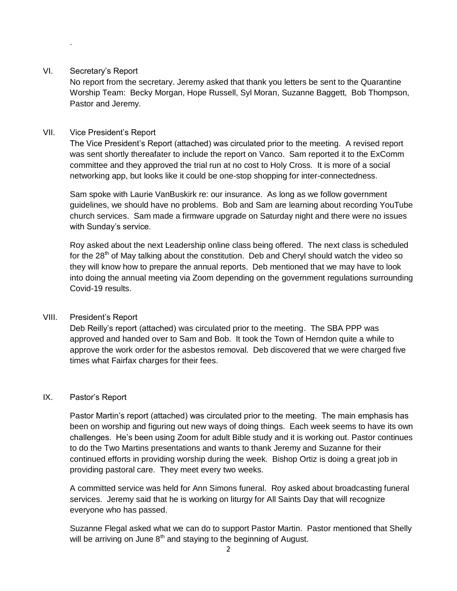#### VI. Secretary's Report

.

No report from the secretary. Jeremy asked that thank you letters be sent to the Quarantine Worship Team: Becky Morgan, Hope Russell, Syl Moran, Suzanne Baggett, Bob Thompson, Pastor and Jeremy.

### VII. Vice President's Report

The Vice President's Report (attached) was circulated prior to the meeting. A revised report was sent shortly thereafater to include the report on Vanco. Sam reported it to the ExComm committee and they approved the trial run at no cost to Holy Cross. It is more of a social networking app, but looks like it could be one-stop shopping for inter-connectedness.

Sam spoke with Laurie VanBuskirk re: our insurance. As long as we follow government guidelines, we should have no problems. Bob and Sam are learning about recording YouTube church services. Sam made a firmware upgrade on Saturday night and there were no issues with Sunday's service.

Roy asked about the next Leadership online class being offered. The next class is scheduled for the  $28<sup>th</sup>$  of May talking about the constitution. Deb and Cheryl should watch the video so they will know how to prepare the annual reports. Deb mentioned that we may have to look into doing the annual meeting via Zoom depending on the government regulations surrounding Covid-19 results.

## VIII. President's Report

Deb Reilly's report (attached) was circulated prior to the meeting. The SBA PPP was approved and handed over to Sam and Bob. It took the Town of Herndon quite a while to approve the work order for the asbestos removal. Deb discovered that we were charged five times what Fairfax charges for their fees.

#### IX. Pastor's Report

Pastor Martin's report (attached) was circulated prior to the meeting. The main emphasis has been on worship and figuring out new ways of doing things. Each week seems to have its own challenges. He's been using Zoom for adult Bible study and it is working out. Pastor continues to do the Two Martins presentations and wants to thank Jeremy and Suzanne for their continued efforts in providing worship during the week. Bishop Ortiz is doing a great job in providing pastoral care. They meet every two weeks.

A committed service was held for Ann Simons funeral. Roy asked about broadcasting funeral services. Jeremy said that he is working on liturgy for All Saints Day that will recognize everyone who has passed.

Suzanne Flegal asked what we can do to support Pastor Martin. Pastor mentioned that Shelly will be arriving on June  $8<sup>th</sup>$  and staying to the beginning of August.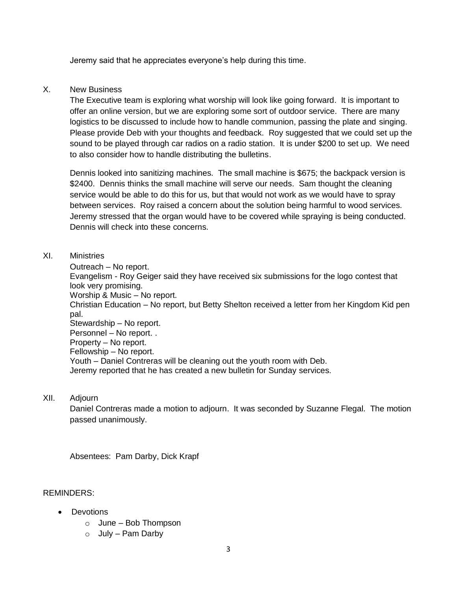Jeremy said that he appreciates everyone's help during this time.

#### X. New Business

The Executive team is exploring what worship will look like going forward. It is important to offer an online version, but we are exploring some sort of outdoor service. There are many logistics to be discussed to include how to handle communion, passing the plate and singing. Please provide Deb with your thoughts and feedback. Roy suggested that we could set up the sound to be played through car radios on a radio station. It is under \$200 to set up. We need to also consider how to handle distributing the bulletins.

Dennis looked into sanitizing machines. The small machine is \$675; the backpack version is \$2400. Dennis thinks the small machine will serve our needs. Sam thought the cleaning service would be able to do this for us, but that would not work as we would have to spray between services. Roy raised a concern about the solution being harmful to wood services. Jeremy stressed that the organ would have to be covered while spraying is being conducted. Dennis will check into these concerns.

### XI. Ministries

Outreach – No report. Evangelism - Roy Geiger said they have received six submissions for the logo contest that look very promising. Worship & Music – No report. Christian Education – No report, but Betty Shelton received a letter from her Kingdom Kid pen pal. Stewardship – No report. Personnel – No report. . Property – No report. Fellowship – No report. Youth – Daniel Contreras will be cleaning out the youth room with Deb. Jeremy reported that he has created a new bulletin for Sunday services.

XII. Adjourn

Daniel Contreras made a motion to adjourn. It was seconded by Suzanne Flegal. The motion passed unanimously.

Absentees: Pam Darby, Dick Krapf

#### REMINDERS:

- Devotions
	- $\circ$  June Bob Thompson
	- $\circ$  July Pam Darby